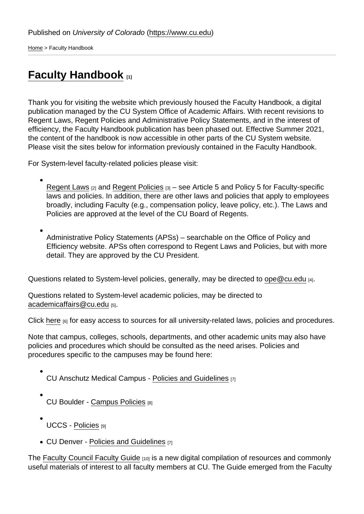[Home](https://www.cu.edu/) > Faculty Handbook

## [Faculty Handbook](https://www.cu.edu/oaa/faculty-handbook) [1]

Thank you for visiting the website which previously housed the Faculty Handbook, a digital publication managed by the CU System Office of Academic Affairs. With recent revisions to Regent Laws, Regent Policies and Administrative Policy Statements, and in the interest of efficiency, the Faculty Handbook publication has been phased out. Effective Summer 2021, the content of the handbook is now accessible in other parts of the CU System website. Please visit the sites below for information previously contained in the Faculty Handbook.

For System-level faculty-related policies please visit:

[Regent Laws](https://www.cu.edu/regents/regent-laws)  $_{[2]}$  and [Regent Policies](https://www.cu.edu/regents/regent-policy-0)  $_{[3]}$  – see Article 5 and Policy 5 for Faculty-specific laws and policies. In addition, there are other laws and policies that apply to employees broadly, including Faculty (e.g., compensation policy, leave policy, etc.). The Laws and Policies are approved at the level of the CU Board of Regents.

Administrative Policy Statements (APSs) – searchable on the Office of Policy and Efficiency website. APSs often correspond to Regent Laws and Policies, but with more detail. They are approved by the CU President.

Questions related to System-level policies, generally, may be directed to [ope@cu.edu](https://www.cu.edu/ope@cu.edu) [4].

Questions related to System-level academic policies, may be directed to [academicaffairs@cu.edu](https://www.cu.edu/academicaffairs@cu.edu) [5].

Click [here](https://www.cu.edu/ope/policy/other-related-policy-resources) [6] for easy access to sources for all university-related laws, policies and procedures.

Note that campus, colleges, schools, departments, and other academic units may also have policies and procedures which should be consulted as the need arises. Policies and procedures specific to the campuses may be found here:

- CU Anschutz Medical Campus - [Policies and Guidelines](https://www.ucdenver.edu/policies) [7]
- CU Boulder [Campus Policies](https://www.colorado.edu/policies/) [8]
- UCCS [Policies](https://vcaf.uccs.edu/policies/uccs) [9]
- $\bullet$  CU Denver - [Policies and Guidelines](https://www.ucdenver.edu/policies)  $_{[7]}$

The [Faculty Council Faculty Guide](https://www.cu.edu/faculty-council/faculty-guide) [10] is a new digital compilation of resources and commonly useful materials of interest to all faculty members at CU. The Guide emerged from the Faculty